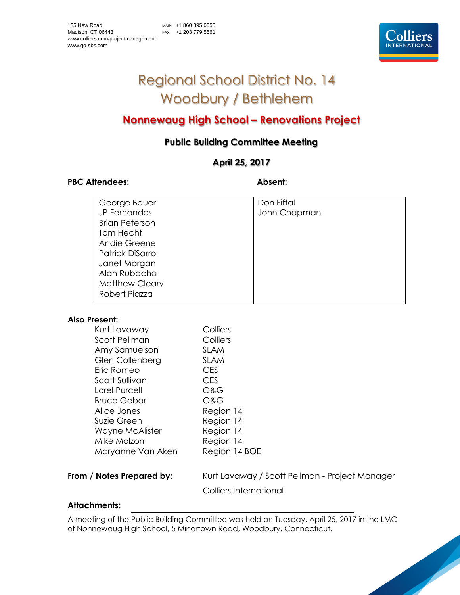

# Regional School District No. 14 Woodbury / Bethlehem

# **Nonnewaug High School – Renovations Project**

## **Public Building Committee Meeting**

### **April 25, 2017**

#### PBC Attendees: **Absent: Absent:**

| George Bauer          | Don Fiftal   |
|-----------------------|--------------|
| JP Fernandes          | John Chapman |
| <b>Brian Peterson</b> |              |
| Tom Hecht             |              |
| Andie Greene          |              |
| Patrick DiSarro       |              |
| Janet Morgan          |              |
| Alan Rubacha          |              |
| <b>Matthew Cleary</b> |              |
| Robert Piazza         |              |
|                       |              |

#### **Also Present:**

| Alice Jones               | Region 14                                      |
|---------------------------|------------------------------------------------|
| Suzie Green               | Region 14                                      |
| Wayne McAlister           | Region 14                                      |
| Mike Molzon               | Region 14                                      |
| Maryanne Van Aken         | Region 14 BOE                                  |
| From / Notes Prepared by: | Kurt Lavaway / Scott Pellman - Project Manager |

Colliers International

#### **Attachments:**

A meeting of the Public Building Committee was held on Tuesday, April 25, 2017 in the LMC of Nonnewaug High School, 5 Minortown Road, Woodbury, Connecticut.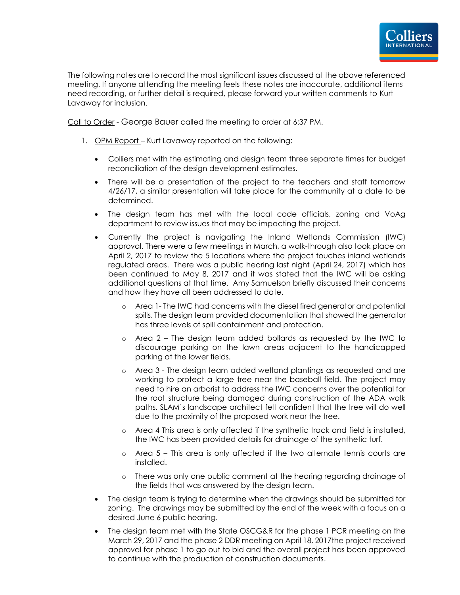

The following notes are to record the most significant issues discussed at the above referenced meeting. If anyone attending the meeting feels these notes are inaccurate, additional items need recording, or further detail is required, please forward your written comments to Kurt Lavaway for inclusion.

Call to Order - George Bauer called the meeting to order at 6:37 PM.

- 1. OPM Report Kurt Lavaway reported on the following:
	- Colliers met with the estimating and design team three separate times for budget reconciliation of the design development estimates.
	- There will be a presentation of the project to the teachers and staff tomorrow 4/26/17, a similar presentation will take place for the community at a date to be determined.
	- The design team has met with the local code officials, zoning and VoAg department to review issues that may be impacting the project.
	- Currently the project is navigating the Inland Wetlands Commission (IWC) approval. There were a few meetings in March, a walk-through also took place on April 2, 2017 to review the 5 locations where the project touches inland wetlands regulated areas. There was a public hearing last night (April 24, 2017) which has been continued to May 8, 2017 and it was stated that the IWC will be asking additional questions at that time. Amy Samuelson briefly discussed their concerns and how they have all been addressed to date.
		- o Area 1- The IWC had concerns with the diesel fired generator and potential spills. The design team provided documentation that showed the generator has three levels of spill containment and protection.
		- o Area 2 The design team added bollards as requested by the IWC to discourage parking on the lawn areas adjacent to the handicapped parking at the lower fields.
		- o Area 3 The design team added wetland plantings as requested and are working to protect a large tree near the baseball field. The project may need to hire an arborist to address the IWC concerns over the potential for the root structure being damaged during construction of the ADA walk paths. SLAM's landscape architect felt confident that the tree will do well due to the proximity of the proposed work near the tree.
		- o Area 4 This area is only affected if the synthetic track and field is installed, the IWC has been provided details for drainage of the synthetic turf.
		- $\circ$  Area 5 This area is only affected if the two alternate tennis courts are installed.
		- o There was only one public comment at the hearing regarding drainage of the fields that was answered by the design team.
	- The design team is trying to determine when the drawings should be submitted for zoning. The drawings may be submitted by the end of the week with a focus on a desired June 6 public hearing.
	- The design team met with the State OSCG&R for the phase 1 PCR meeting on the March 29, 2017 and the phase 2 DDR meeting on April 18, 2017the project received approval for phase 1 to go out to bid and the overall project has been approved to continue with the production of construction documents.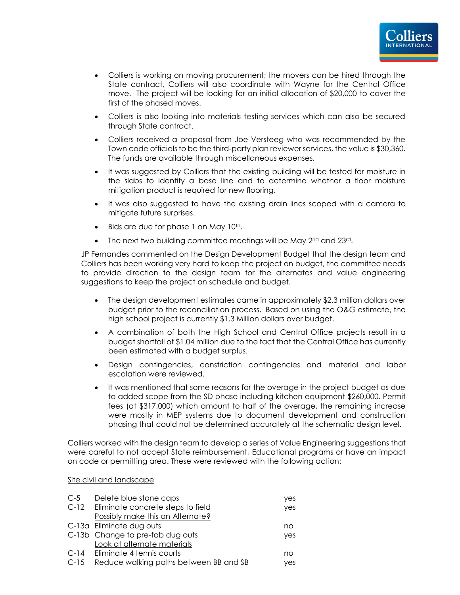

- Colliers is working on moving procurement; the movers can be hired through the State contract, Colliers will also coordinate with Wayne for the Central Office move. The project will be looking for an initial allocation of \$20,000 to cover the first of the phased moves.
- Colliers is also looking into materials testing services which can also be secured through State contract.
- Colliers received a proposal from Joe Versteeg who was recommended by the Town code officials to be the third-party plan reviewer services, the value is \$30,360. The funds are available through miscellaneous expenses.
- It was suggested by Colliers that the existing building will be tested for moisture in the slabs to identify a base line and to determine whether a floor moisture mitigation product is required for new flooring.
- It was also suggested to have the existing drain lines scoped with a camera to mitigate future surprises.
- Bids are due for phase 1 on May 10<sup>th</sup>.
- The next two building committee meetings will be May 2<sup>nd</sup> and 23<sup>rd</sup>.

JP Fernandes commented on the Design Development Budget that the design team and Colliers has been working very hard to keep the project on budget, the committee needs to provide direction to the design team for the alternates and value engineering suggestions to keep the project on schedule and budget.

- The design development estimates came in approximately \$2.3 million dollars over budget prior to the reconciliation process. Based on using the O&G estimate, the high school project is currently \$1.3 Million dollars over budget.
- A combination of both the High School and Central Office projects result in a budget shortfall of \$1.04 million due to the fact that the Central Office has currently been estimated with a budget surplus.
- Design contingencies, constriction contingencies and material and labor escalation were reviewed.
- It was mentioned that some reasons for the overage in the project budget as due to added scope from the SD phase including kitchen equipment \$260,000. Permit fees (at \$317,000) which amount to half of the overage, the remaining increase were mostly in MEP systems due to document development and construction phasing that could not be determined accurately at the schematic design level.

Colliers worked with the design team to develop a series of Value Engineering suggestions that were careful to not accept State reimbursement, Educational programs or have an impact on code or permitting area. These were reviewed with the following action:

#### Site civil and landscape

| $C-5$  | Delete blue stone caps<br>C-12 Eliminate concrete steps to field<br>Possibly make this an Alternate? | yes<br>yes |
|--------|------------------------------------------------------------------------------------------------------|------------|
|        | C-13a Eliminate dug outs                                                                             | no         |
|        | C-13b Change to pre-fab dug outs                                                                     | yes        |
|        | Look at alternate materials                                                                          |            |
|        | C-14 Eliminate 4 tennis courts                                                                       | no         |
| $C-15$ | Reduce walking paths between BB and SB                                                               | yes        |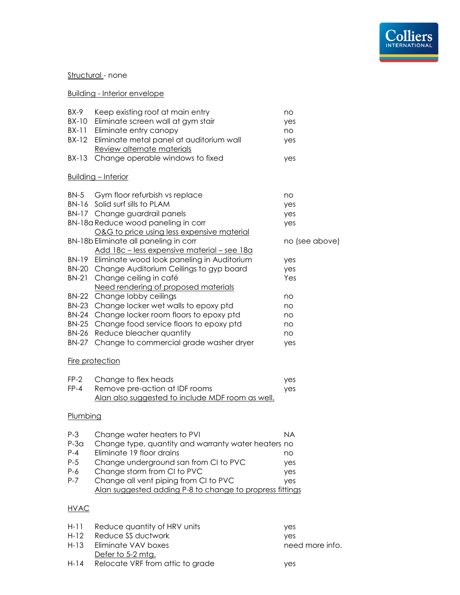

#### Structural - none

#### Building - Interior envelope

Defer to 5-2 mtg.

H-14 Relocate VRF from attic to grade yes

| BX-9            | Keep existing roof at main entry                         | no              |  |  |
|-----------------|----------------------------------------------------------|-----------------|--|--|
| BX-10           | Eliminate screen wall at gym stair                       | yes             |  |  |
| BX-11           | Eliminate entry canopy                                   | no              |  |  |
| BX-12           | Eliminate metal panel at auditorium wall                 | yes             |  |  |
|                 | Review alternate materials                               |                 |  |  |
| BX-13           | Change operable windows to fixed                         | yes             |  |  |
|                 | <b>Building - Interior</b>                               |                 |  |  |
|                 |                                                          |                 |  |  |
| BN-5            | Gym floor refurbish vs replace                           | no              |  |  |
|                 | BN-16 Solid surf sills to PLAM                           | yes             |  |  |
|                 | BN-17 Change guardrail panels                            | yes             |  |  |
|                 | BN-18a Reduce wood paneling in corr                      | yes             |  |  |
|                 | O&G to price using less expensive material               |                 |  |  |
|                 | BN-18b Eliminate all paneling in corr                    | no (see above)  |  |  |
|                 | <u>Add 18c - less expensive material - see 18a</u>       |                 |  |  |
| BN-19           | Eliminate wood look paneling in Auditorium               | yes             |  |  |
|                 | BN-20 Change Auditorium Ceilings to gyp board            | yes             |  |  |
| <b>BN-21</b>    | Change ceiling in café                                   | Yes             |  |  |
|                 | Need rendering of proposed materials                     |                 |  |  |
|                 | BN-22 Change lobby ceilings                              | no              |  |  |
| <b>BN-23</b>    | Change locker wet walls to epoxy ptd                     | no              |  |  |
| <b>BN-24</b>    | Change locker room floors to epoxy ptd                   | no              |  |  |
| <b>BN-25</b>    | Change food service floors to epoxy ptd                  | no              |  |  |
| <b>BN-26</b>    | Reduce bleacher quantity                                 | no              |  |  |
| <b>BN-27</b>    | Change to commercial grade washer dryer                  | yes             |  |  |
|                 |                                                          |                 |  |  |
|                 | Fire protection                                          |                 |  |  |
| $FP-2$          | Change to flex heads                                     | yes             |  |  |
| $FP-4$          | Remove pre-action at IDF rooms                           | yes             |  |  |
|                 | Alan also suggested to include MDF room as well.         |                 |  |  |
|                 |                                                          |                 |  |  |
| <b>Plumbing</b> |                                                          |                 |  |  |
| $P-3$           | Change water heaters to PVI                              | <b>NA</b>       |  |  |
| $P-3a$          | Change type, quantity and warranty water heaters no      |                 |  |  |
| $P - 4$         | Eliminate 19 floor drains                                | no              |  |  |
| $P-5$           | Change underground san from CI to PVC                    | yes             |  |  |
| $P-6$           | Change storm from CI to PVC                              | yes             |  |  |
| $P - 7$         | Change all vent piping from CI to PVC                    | yes             |  |  |
|                 | Alan suggested adding P-8 to change to propress fittings |                 |  |  |
|                 |                                                          |                 |  |  |
| <b>HVAC</b>     |                                                          |                 |  |  |
| $H-11$          | Reduce quantity of HRV units                             | yes             |  |  |
| $H-12$          | Reduce SS ductwork                                       | yes             |  |  |
| $H-13$          | Eliminate VAV boxes                                      | need more info. |  |  |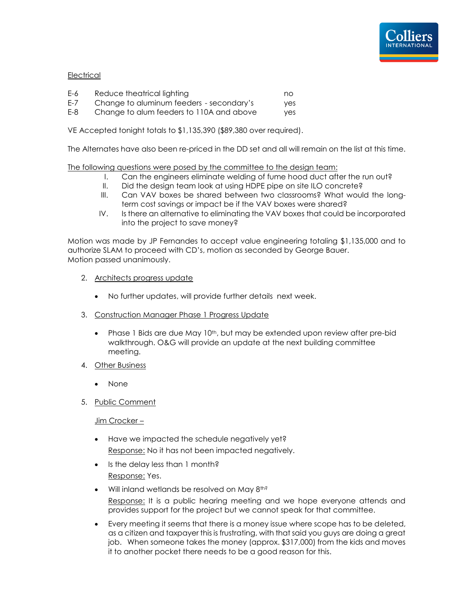

#### **Electrical**

- E-6 Reduce theatrical lighting moment of the no-
- E-7 Change to aluminum feeders secondary's yes
- E-8 Change to alum feeders to 110A and above yes

VE Accepted tonight totals to \$1,135,390 (\$89,380 over required).

The Alternates have also been re-priced in the DD set and all will remain on the list at this time.

The following questions were posed by the committee to the design team:

- I. Can the engineers eliminate welding of fume hood duct after the run out?
- II. Did the design team look at using HDPE pipe on site ILO concrete?
- III. Can VAV boxes be shared between two classrooms? What would the longterm cost savings or impact be if the VAV boxes were shared?
- IV. Is there an alternative to eliminating the VAV boxes that could be incorporated into the project to save money?

Motion was made by JP Fernandes to accept value engineering totaling \$1,135,000 and to authorize SLAM to proceed with CD's, motion as seconded by George Bauer. Motion passed unanimously.

- 2. Architects progress update
	- No further updates, will provide further details next week.
- 3. Construction Manager Phase 1 Progress Update
	- Phase 1 Bids are due May  $10<sup>th</sup>$ , but may be extended upon review after pre-bid walkthrough. O&G will provide an update at the next building committee meeting.
- 4. Other Business
	- None
- 5. Public Comment

Jim Crocker –

- Have we impacted the schedule negatively yet? Response: No it has not been impacted negatively.
- Is the delay less than 1 month? Response: Yes.
- Will inland wetlands be resolved on May  $8<sup>th</sup>$ ? Response: It is a public hearing meeting and we hope everyone attends and provides support for the project but we cannot speak for that committee.
- Every meeting it seems that there is a money issue where scope has to be deleted, as a citizen and taxpayer this is frustrating, with that said you guys are doing a great job. When someone takes the money (approx. \$317,000) from the kids and moves it to another pocket there needs to be a good reason for this.